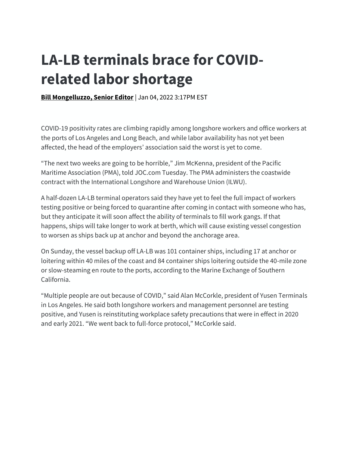## **LA-LB terminals brace for COVIDrelated labor shortage**

**[Bill Mongelluzzo, Senior Editor](https://nam11.safelinks.protection.outlook.com/?url=https%3A%2F%2Fwww.joc.com%2Fusers%2Fbmongelluzzojoccom&data=04%7C01%7Csusanne.stirling%40calchamber.com%7C5c7e44e2ceac43cc9d3b08d9cfc61d10%7Ca7abc4f7450941ba980af561a25182bc%7C0%7C0%7C637769272084562735%7CUnknown%7CTWFpbGZsb3d8eyJWIjoiMC4wLjAwMDAiLCJQIjoiV2luMzIiLCJBTiI6Ik1haWwiLCJXVCI6Mn0%3D%7C3000&sdata=0mVUHW%2Bq1UhqISo6ct0RLBpjL9Tvr%2BCXIW%2FYAVARvQ0%3D&reserved=0) | Jan 04, 2022 3:17PM EST** 

COVID-19 positivity rates are climbing rapidly among longshore workers and office workers at the ports of Los Angeles and Long Beach, and while labor availability has not yet been affected, the head of the employers' association said the worst is yet to come.

"The next two weeks are going to be horrible," Jim McKenna, president of the Pacific Maritime Association (PMA), told JOC.com Tuesday. The PMA administers the coastwide contract with the International Longshore and Warehouse Union (ILWU).

A half-dozen LA-LB terminal operators said they have yet to feel the full impact of workers testing positive or being forced to quarantine after coming in contact with someone who has, but they anticipate it will soon affect the ability of terminals to fill work gangs. If that happens, ships will take longer to work at berth, which will cause existing vessel congestion to worsen as ships back up at anchor and beyond the anchorage area.

On Sunday, the vessel backup off LA-LB was 101 container ships, including 17 at anchor or loitering within 40 miles of the coast and 84 container ships loitering outside the 40-mile zone or slow-steaming en route to the ports, according to the Marine Exchange of Southern California.

"Multiple people are out because of COVID," said Alan McCorkle, president of Yusen Terminals in Los Angeles. He said both longshore workers and management personnel are testing positive, and Yusen is reinstituting workplace safety precautions that were in effect in 2020 and early 2021. "We went back to full-force protocol," McCorkle said.